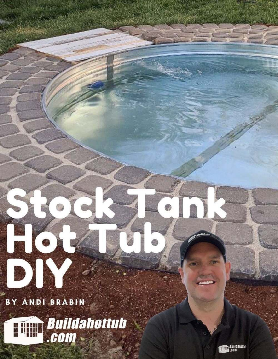BY ANDI BRABIN

**Buildahottub**<br>.com ITAN

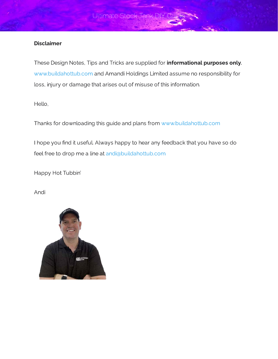#### **Disclaimer**

These Design Notes. Tips and Tricks are supplied for **informational purposes only.** [www.buildahottub.com](http://www.buildahottub.com/) and Amandi Holdings Limited assume no responsibility for loss, injury or damage that arises out of misuse of this information.

Hello,

Thanks for downloading this guide and plans from [www.buildahottub.com](http://www.buildahottub.com/)

Ultimate Stock Tank D

I hope you find it useful. Always happy to hear any feedback that you have so do feel free to drop me a line at [andi@buildahottub.com](mailto:andi@buildahottub.com)

Happy Hot Tubbin'

Andi

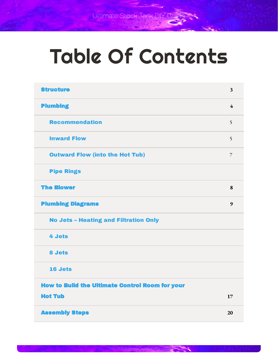# Table Of Contents

| <b>Structure</b>                                       | $\overline{\mathbf{3}}$ |
|--------------------------------------------------------|-------------------------|
| <b>Plumbing</b>                                        | 4                       |
| <b>Recommendation</b>                                  | 5                       |
| <b>Inward Flow</b>                                     | 5                       |
| <b>Outward Flow (into the Hot Tub)</b>                 | $\overline{7}$          |
| <b>Pipe Rings</b>                                      |                         |
| <b>The Blower</b>                                      | 8                       |
| <b>Plumbing Diagrams</b>                               | 9                       |
| <b>No Jets - Heating and Filtration Only</b>           |                         |
| <b>4 Jets</b>                                          |                         |
| 8 Jets                                                 |                         |
| 16 Jets                                                |                         |
| <b>How to Build the Ultimate Control Room for your</b> |                         |
| <b>Hot Tub</b>                                         | 17                      |
| <b>Assembly Steps</b>                                  | 20                      |

**StockTankHotTubDIYGuide**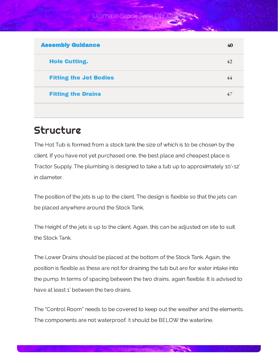Ultimate Stock Tank D

| <b>Assembly Guidance</b>      | 40 |
|-------------------------------|----|
| <b>Hole Cutting.</b>          | 42 |
| <b>Fitting the Jet Bodies</b> | 44 |
| <b>Fitting the Drains</b>     | 47 |
|                               |    |

## <span id="page-3-0"></span>**Structure**

The Hot Tub is formed from a stock tank the size of which is to be chosen by the client. If you have not yet purchased one, the best place and cheapest place is Tractor Supply. The plumbing is designed to take a tub up to approximately 10'-12' in diameter.

The position of the jets is up to the client. The design is flexible so that the jets can be placed anywhere around the Stock Tank.

The Height of the jets is up to the client. Again, this can be adjusted on site to suit the Stock Tank.

The Lower Drains should be placed at the bottom of the Stock Tank. Again, the position is flexible as these are not for draining the tub but are for water intake into the pump. In terms of spacing between the two drains, again flexible. It is advised to have at least 1' between the two drains.

The "Control Room" needs to be covered to keep out the weather and the elements. The components are not waterproof. It should be BELOW the waterline.

**StockTankHotTubDIYGuide**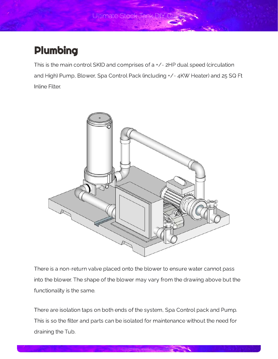Ultimate Stock Tank D

# <span id="page-4-0"></span>Plumbing

This is the main control SKID and comprises of a +/- 2HP dual speed (circulation and High) Pump, Blower, Spa Control Pack (including +/- 4KW Heater) and 25 SQ Ft Inline Filter.



There is a non-return valve placed onto the blower to ensure water cannot pass into the blower. The shape of the blower may vary from the drawing above but the functionality is the same.

There are isolation taps on both ends of the system, Spa Control pack and Pump. This is so the filter and parts can be isolated for maintenance without the need for draining the Tub.

**StockTankHotTubDIYGuide**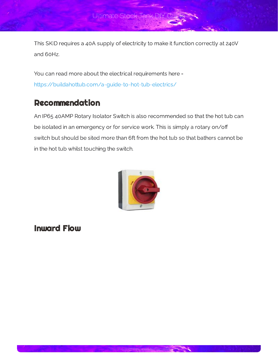This SKID requires a 40A supply of electricity to make it function correctly at 240V

You can read more about the electrical requirements here <https://buildahottub.com/a-guide-to-hot-tub-electrics/>

## <span id="page-5-0"></span>Recommendation

An IP65 40AMP Rotary Isolator Switch is also recommended so that the hot tub can be isolated in an emergency or for service work. This is simply a rotary on/o in the hot tub whilst touching the switch.



### <span id="page-5-1"></span>Inward Flow